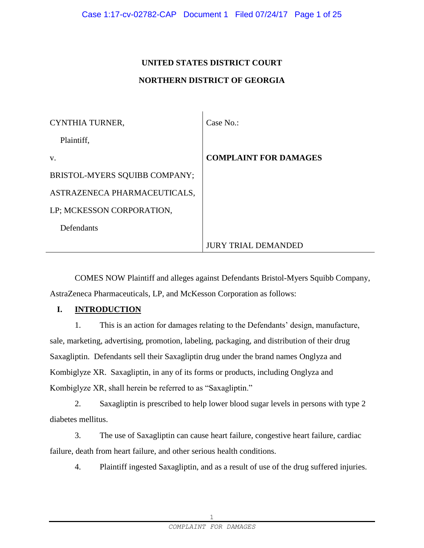# **UNITED STATES DISTRICT COURT NORTHERN DISTRICT OF GEORGIA**

 $\mathbf{L}$ 

| CYNTHIA TURNER,               | Case No.                     |
|-------------------------------|------------------------------|
| Plaintiff,                    |                              |
| V.                            | <b>COMPLAINT FOR DAMAGES</b> |
| BRISTOL-MYERS SQUIBB COMPANY; |                              |
| ASTRAZENECA PHARMACEUTICALS,  |                              |
| LP; MCKESSON CORPORATION,     |                              |
| Defendants                    |                              |
|                               | <b>JURY TRIAL DEMANDED</b>   |

COMES NOW Plaintiff and alleges against Defendants Bristol-Myers Squibb Company, AstraZeneca Pharmaceuticals, LP, and McKesson Corporation as follows:

# **I. INTRODUCTION**

1. This is an action for damages relating to the Defendants' design, manufacture, sale, marketing, advertising, promotion, labeling, packaging, and distribution of their drug Saxagliptin. Defendants sell their Saxagliptin drug under the brand names Onglyza and Kombiglyze XR. Saxagliptin, in any of its forms or products, including Onglyza and Kombiglyze XR, shall herein be referred to as "Saxagliptin."

2. Saxagliptin is prescribed to help lower blood sugar levels in persons with type 2 diabetes mellitus.

3. The use of Saxagliptin can cause heart failure, congestive heart failure, cardiac failure, death from heart failure, and other serious health conditions.

4. Plaintiff ingested Saxagliptin, and as a result of use of the drug suffered injuries.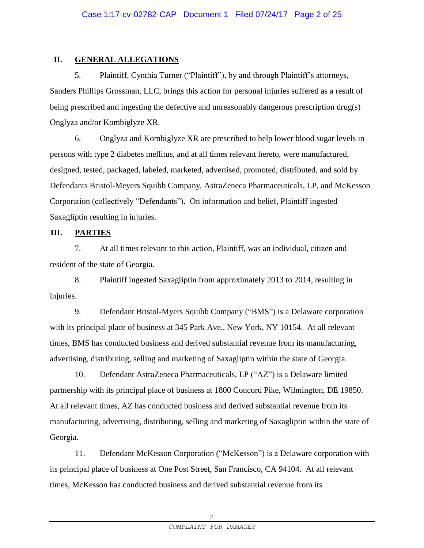# **II. GENERAL ALLEGATIONS**

5. Plaintiff, Cynthia Turner ("Plaintiff"), by and through Plaintiff's attorneys, Sanders Phillips Grossman, LLC, brings this action for personal injuries suffered as a result of being prescribed and ingesting the defective and unreasonably dangerous prescription drug(s) Onglyza and/or Kombiglyze XR.

6. Onglyza and Kombiglyze XR are prescribed to help lower blood sugar levels in persons with type 2 diabetes mellitus, and at all times relevant hereto, were manufactured, designed, tested, packaged, labeled, marketed, advertised, promoted, distributed, and sold by Defendants Bristol-Meyers Squibb Company, AstraZeneca Pharmaceuticals, LP, and McKesson Corporation (collectively "Defendants"). On information and belief, Plaintiff ingested Saxagliptin resulting in injuries.

## **III. PARTIES**

7. At all times relevant to this action, Plaintiff, was an individual, citizen and resident of the state of Georgia.

8. Plaintiff ingested Saxagliptin from approximately 2013 to 2014, resulting in injuries.

9. Defendant Bristol-Myers Squibb Company ("BMS") is a Delaware corporation with its principal place of business at 345 Park Ave., New York, NY 10154. At all relevant times, BMS has conducted business and derived substantial revenue from its manufacturing, advertising, distributing, selling and marketing of Saxagliptin within the state of Georgia.

10. Defendant AstraZeneca Pharmaceuticals, LP ("AZ") is a Delaware limited partnership with its principal place of business at 1800 Concord Pike, Wilmington, DE 19850. At all relevant times, AZ has conducted business and derived substantial revenue from its manufacturing, advertising, distributing, selling and marketing of Saxagliptin within the state of Georgia.

11. Defendant McKesson Corporation ("McKesson") is a Delaware corporation with its principal place of business at One Post Street, San Francisco, CA 94104. At all relevant times, McKesson has conducted business and derived substantial revenue from its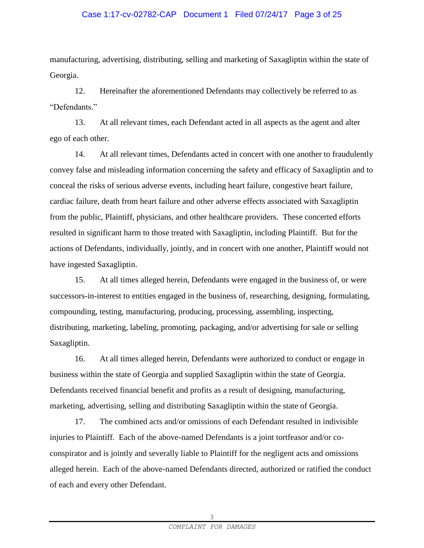#### Case 1:17-cv-02782-CAP Document 1 Filed 07/24/17 Page 3 of 25

manufacturing, advertising, distributing, selling and marketing of Saxagliptin within the state of Georgia.

12. Hereinafter the aforementioned Defendants may collectively be referred to as "Defendants."

13. At all relevant times, each Defendant acted in all aspects as the agent and alter ego of each other.

14. At all relevant times, Defendants acted in concert with one another to fraudulently convey false and misleading information concerning the safety and efficacy of Saxagliptin and to conceal the risks of serious adverse events, including heart failure, congestive heart failure, cardiac failure, death from heart failure and other adverse effects associated with Saxagliptin from the public, Plaintiff, physicians, and other healthcare providers. These concerted efforts resulted in significant harm to those treated with Saxagliptin, including Plaintiff. But for the actions of Defendants, individually, jointly, and in concert with one another, Plaintiff would not have ingested Saxagliptin.

15. At all times alleged herein, Defendants were engaged in the business of, or were successors-in-interest to entities engaged in the business of, researching, designing, formulating, compounding, testing, manufacturing, producing, processing, assembling, inspecting, distributing, marketing, labeling, promoting, packaging, and/or advertising for sale or selling Saxagliptin.

16. At all times alleged herein, Defendants were authorized to conduct or engage in business within the state of Georgia and supplied Saxagliptin within the state of Georgia. Defendants received financial benefit and profits as a result of designing, manufacturing, marketing, advertising, selling and distributing Saxagliptin within the state of Georgia.

17. The combined acts and/or omissions of each Defendant resulted in indivisible injuries to Plaintiff. Each of the above-named Defendants is a joint tortfeasor and/or coconspirator and is jointly and severally liable to Plaintiff for the negligent acts and omissions alleged herein. Each of the above-named Defendants directed, authorized or ratified the conduct of each and every other Defendant.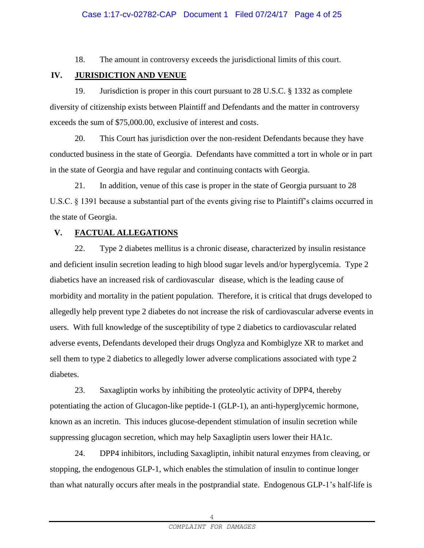18. The amount in controversy exceeds the jurisdictional limits of this court.

## **IV. JURISDICTION AND VENUE**

19. Jurisdiction is proper in this court pursuant to 28 U.S.C. § 1332 as complete diversity of citizenship exists between Plaintiff and Defendants and the matter in controversy exceeds the sum of \$75,000.00, exclusive of interest and costs.

20. This Court has jurisdiction over the non-resident Defendants because they have conducted business in the state of Georgia. Defendants have committed a tort in whole or in part in the state of Georgia and have regular and continuing contacts with Georgia.

21. In addition, venue of this case is proper in the state of Georgia pursuant to 28 U.S.C. § 1391 because a substantial part of the events giving rise to Plaintiff's claims occurred in the state of Georgia.

## **V. FACTUAL ALLEGATIONS**

22. Type 2 diabetes mellitus is a chronic disease, characterized by insulin resistance and deficient insulin secretion leading to high blood sugar levels and/or hyperglycemia. Type 2 diabetics have an increased risk of cardiovascular disease, which is the leading cause of morbidity and mortality in the patient population. Therefore, it is critical that drugs developed to allegedly help prevent type 2 diabetes do not increase the risk of cardiovascular adverse events in users. With full knowledge of the susceptibility of type 2 diabetics to cardiovascular related adverse events, Defendants developed their drugs Onglyza and Kombiglyze XR to market and sell them to type 2 diabetics to allegedly lower adverse complications associated with type 2 diabetes.

23. Saxagliptin works by inhibiting the proteolytic activity of DPP4, thereby potentiating the action of Glucagon-like peptide-1 (GLP-1), an anti-hyperglycemic hormone, known as an incretin. This induces glucose-dependent stimulation of insulin secretion while suppressing glucagon secretion, which may help Saxagliptin users lower their HA1c.

24. DPP4 inhibitors, including Saxagliptin, inhibit natural enzymes from cleaving, or stopping, the endogenous GLP-1, which enables the stimulation of insulin to continue longer than what naturally occurs after meals in the postprandial state. Endogenous GLP-1's half-life is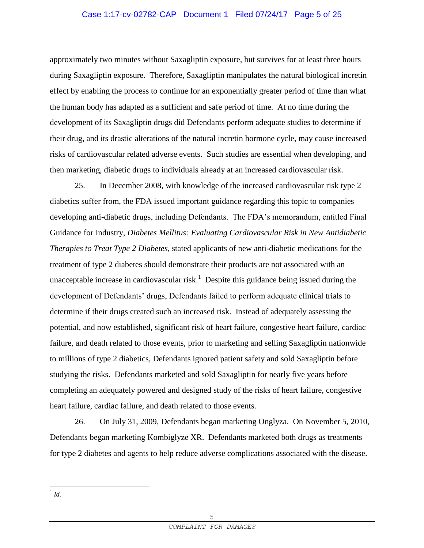# Case 1:17-cv-02782-CAP Document 1 Filed 07/24/17 Page 5 of 25

approximately two minutes without Saxagliptin exposure, but survives for at least three hours during Saxagliptin exposure. Therefore, Saxagliptin manipulates the natural biological incretin effect by enabling the process to continue for an exponentially greater period of time than what the human body has adapted as a sufficient and safe period of time. At no time during the development of its Saxagliptin drugs did Defendants perform adequate studies to determine if their drug, and its drastic alterations of the natural incretin hormone cycle, may cause increased risks of cardiovascular related adverse events. Such studies are essential when developing, and then marketing, diabetic drugs to individuals already at an increased cardiovascular risk.

25. In December 2008, with knowledge of the increased cardiovascular risk type 2 diabetics suffer from, the FDA issued important guidance regarding this topic to companies developing anti-diabetic drugs, including Defendants. The FDA's memorandum, entitled Final Guidance for Industry, *Diabetes Mellitus: Evaluating Cardiovascular Risk in New Antidiabetic Therapies to Treat Type 2 Diabetes,* stated applicants of new anti-diabetic medications for the treatment of type 2 diabetes should demonstrate their products are not associated with an unacceptable increase in cardiovascular risk.<sup>1</sup> Despite this guidance being issued during the development of Defendants' drugs, Defendants failed to perform adequate clinical trials to determine if their drugs created such an increased risk. Instead of adequately assessing the potential, and now established, significant risk of heart failure, congestive heart failure, cardiac failure, and death related to those events, prior to marketing and selling Saxagliptin nationwide to millions of type 2 diabetics, Defendants ignored patient safety and sold Saxagliptin before studying the risks. Defendants marketed and sold Saxagliptin for nearly five years before completing an adequately powered and designed study of the risks of heart failure, congestive heart failure, cardiac failure, and death related to those events.

26. On July 31, 2009, Defendants began marketing Onglyza. On November 5, 2010, Defendants began marketing Kombiglyze XR. Defendants marketed both drugs as treatments for type 2 diabetes and agents to help reduce adverse complications associated with the disease.

 $\frac{1}{1}$ *Id.*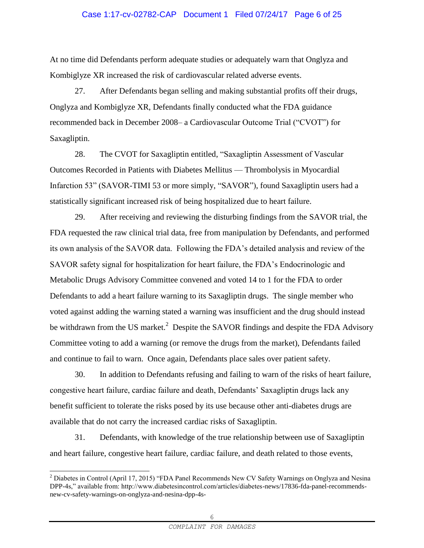#### Case 1:17-cv-02782-CAP Document 1 Filed 07/24/17 Page 6 of 25

At no time did Defendants perform adequate studies or adequately warn that Onglyza and Kombiglyze XR increased the risk of cardiovascular related adverse events.

27. After Defendants began selling and making substantial profits off their drugs, Onglyza and Kombiglyze XR, Defendants finally conducted what the FDA guidance recommended back in December 2008– a Cardiovascular Outcome Trial ("CVOT") for Saxagliptin.

28. The CVOT for Saxagliptin entitled, "Saxagliptin Assessment of Vascular Outcomes Recorded in Patients with Diabetes Mellitus — Thrombolysis in Myocardial Infarction 53" (SAVOR-TIMI 53 or more simply, "SAVOR"), found Saxagliptin users had a statistically significant increased risk of being hospitalized due to heart failure.

29. After receiving and reviewing the disturbing findings from the SAVOR trial, the FDA requested the raw clinical trial data, free from manipulation by Defendants, and performed its own analysis of the SAVOR data. Following the FDA's detailed analysis and review of the SAVOR safety signal for hospitalization for heart failure, the FDA's Endocrinologic and Metabolic Drugs Advisory Committee convened and voted 14 to 1 for the FDA to order Defendants to add a heart failure warning to its Saxagliptin drugs. The single member who voted against adding the warning stated a warning was insufficient and the drug should instead be withdrawn from the US market.<sup>2</sup> Despite the SAVOR findings and despite the FDA Advisory Committee voting to add a warning (or remove the drugs from the market), Defendants failed and continue to fail to warn. Once again, Defendants place sales over patient safety.

30. In addition to Defendants refusing and failing to warn of the risks of heart failure, congestive heart failure, cardiac failure and death, Defendants' Saxagliptin drugs lack any benefit sufficient to tolerate the risks posed by its use because other anti-diabetes drugs are available that do not carry the increased cardiac risks of Saxagliptin.

31. Defendants, with knowledge of the true relationship between use of Saxagliptin and heart failure, congestive heart failure, cardiac failure, and death related to those events,

÷,

<sup>&</sup>lt;sup>2</sup> Diabetes in Control (April 17, 2015) "FDA Panel Recommends New CV Safety Warnings on Onglyza and Nesina DPP-4s," available from: http://www.diabetesincontrol.com/articles/diabetes-news/17836-fda-panel-recommendsnew-cv-safety-warnings-on-onglyza-and-nesina-dpp-4s-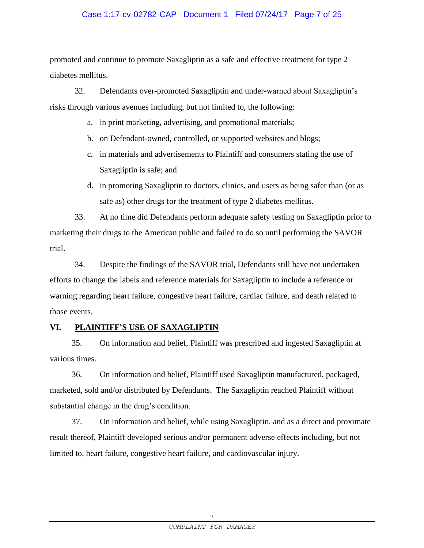## Case 1:17-cv-02782-CAP Document 1 Filed 07/24/17 Page 7 of 25

promoted and continue to promote Saxagliptin as a safe and effective treatment for type 2 diabetes mellitus.

32. Defendants over-promoted Saxagliptin and under-warned about Saxagliptin's risks through various avenues including, but not limited to, the following:

- a. in print marketing, advertising, and promotional materials;
- b. on Defendant-owned, controlled, or supported websites and blogs;
- c. in materials and advertisements to Plaintiff and consumers stating the use of Saxagliptin is safe; and
- d. in promoting Saxagliptin to doctors, clinics, and users as being safer than (or as safe as) other drugs for the treatment of type 2 diabetes mellitus.

33. At no time did Defendants perform adequate safety testing on Saxagliptin prior to marketing their drugs to the American public and failed to do so until performing the SAVOR trial.

34. Despite the findings of the SAVOR trial, Defendants still have not undertaken efforts to change the labels and reference materials for Saxagliptin to include a reference or warning regarding heart failure, congestive heart failure, cardiac failure, and death related to those events.

# **VI. PLAINTIFF'S USE OF SAXAGLIPTIN**

35. On information and belief, Plaintiff was prescribed and ingested Saxagliptin at various times.

36. On information and belief, Plaintiff used Saxagliptin manufactured, packaged, marketed, sold and/or distributed by Defendants. The Saxagliptin reached Plaintiff without substantial change in the drug's condition.

37. On information and belief, while using Saxagliptin, and as a direct and proximate result thereof, Plaintiff developed serious and/or permanent adverse effects including, but not limited to, heart failure, congestive heart failure, and cardiovascular injury.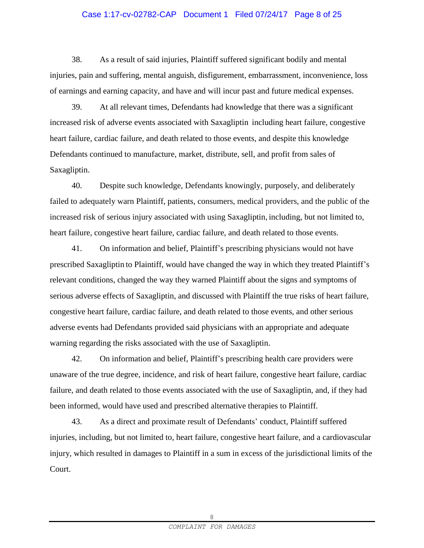# Case 1:17-cv-02782-CAP Document 1 Filed 07/24/17 Page 8 of 25

38. As a result of said injuries, Plaintiff suffered significant bodily and mental injuries, pain and suffering, mental anguish, disfigurement, embarrassment, inconvenience, loss of earnings and earning capacity, and have and will incur past and future medical expenses.

39. At all relevant times, Defendants had knowledge that there was a significant increased risk of adverse events associated with Saxagliptin including heart failure, congestive heart failure, cardiac failure, and death related to those events, and despite this knowledge Defendants continued to manufacture, market, distribute, sell, and profit from sales of Saxagliptin.

40. Despite such knowledge, Defendants knowingly, purposely, and deliberately failed to adequately warn Plaintiff, patients, consumers, medical providers, and the public of the increased risk of serious injury associated with using Saxagliptin, including, but not limited to, heart failure, congestive heart failure, cardiac failure, and death related to those events.

41. On information and belief, Plaintiff's prescribing physicians would not have prescribed Saxagliptin to Plaintiff, would have changed the way in which they treated Plaintiff's relevant conditions, changed the way they warned Plaintiff about the signs and symptoms of serious adverse effects of Saxagliptin, and discussed with Plaintiff the true risks of heart failure, congestive heart failure, cardiac failure, and death related to those events, and other serious adverse events had Defendants provided said physicians with an appropriate and adequate warning regarding the risks associated with the use of Saxagliptin.

42. On information and belief, Plaintiff's prescribing health care providers were unaware of the true degree, incidence, and risk of heart failure, congestive heart failure, cardiac failure, and death related to those events associated with the use of Saxagliptin, and, if they had been informed, would have used and prescribed alternative therapies to Plaintiff.

43. As a direct and proximate result of Defendants' conduct, Plaintiff suffered injuries, including, but not limited to, heart failure, congestive heart failure, and a cardiovascular injury, which resulted in damages to Plaintiff in a sum in excess of the jurisdictional limits of the Court.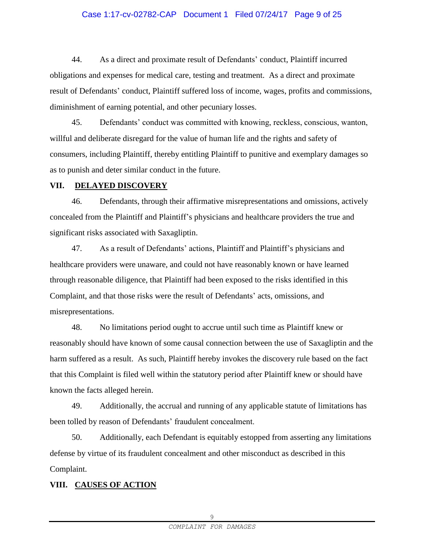#### Case 1:17-cv-02782-CAP Document 1 Filed 07/24/17 Page 9 of 25

44. As a direct and proximate result of Defendants' conduct, Plaintiff incurred obligations and expenses for medical care, testing and treatment. As a direct and proximate result of Defendants' conduct, Plaintiff suffered loss of income, wages, profits and commissions, diminishment of earning potential, and other pecuniary losses.

45. Defendants' conduct was committed with knowing, reckless, conscious, wanton, willful and deliberate disregard for the value of human life and the rights and safety of consumers, including Plaintiff, thereby entitling Plaintiff to punitive and exemplary damages so as to punish and deter similar conduct in the future.

#### **VII. DELAYED DISCOVERY**

46. Defendants, through their affirmative misrepresentations and omissions, actively concealed from the Plaintiff and Plaintiff's physicians and healthcare providers the true and significant risks associated with Saxagliptin.

47. As a result of Defendants' actions, Plaintiff and Plaintiff's physicians and healthcare providers were unaware, and could not have reasonably known or have learned through reasonable diligence, that Plaintiff had been exposed to the risks identified in this Complaint, and that those risks were the result of Defendants' acts, omissions, and misrepresentations.

48. No limitations period ought to accrue until such time as Plaintiff knew or reasonably should have known of some causal connection between the use of Saxagliptin and the harm suffered as a result. As such, Plaintiff hereby invokes the discovery rule based on the fact that this Complaint is filed well within the statutory period after Plaintiff knew or should have known the facts alleged herein.

49. Additionally, the accrual and running of any applicable statute of limitations has been tolled by reason of Defendants' fraudulent concealment.

50. Additionally, each Defendant is equitably estopped from asserting any limitations defense by virtue of its fraudulent concealment and other misconduct as described in this Complaint.

## **VIII. CAUSES OF ACTION**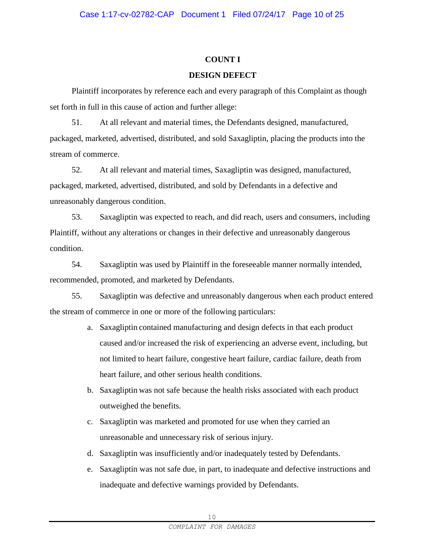## **COUNT I**

## **DESIGN DEFECT**

Plaintiff incorporates by reference each and every paragraph of this Complaint as though set forth in full in this cause of action and further allege:

51. At all relevant and material times, the Defendants designed, manufactured, packaged, marketed, advertised, distributed, and sold Saxagliptin, placing the products into the stream of commerce.

52. At all relevant and material times, Saxagliptin was designed, manufactured, packaged, marketed, advertised, distributed, and sold by Defendants in a defective and unreasonably dangerous condition.

53. Saxagliptin was expected to reach, and did reach, users and consumers, including Plaintiff, without any alterations or changes in their defective and unreasonably dangerous condition.

54. Saxagliptin was used by Plaintiff in the foreseeable manner normally intended, recommended, promoted, and marketed by Defendants.

55. Saxagliptin was defective and unreasonably dangerous when each product entered the stream of commerce in one or more of the following particulars:

- a. Saxagliptin contained manufacturing and design defects in that each product caused and/or increased the risk of experiencing an adverse event, including, but not limited to heart failure, congestive heart failure, cardiac failure, death from heart failure, and other serious health conditions.
- b. Saxagliptin was not safe because the health risks associated with each product outweighed the benefits.
- c. Saxagliptin was marketed and promoted for use when they carried an unreasonable and unnecessary risk of serious injury.
- d. Saxagliptin was insufficiently and/or inadequately tested by Defendants.
- e. Saxagliptin was not safe due, in part, to inadequate and defective instructions and inadequate and defective warnings provided by Defendants.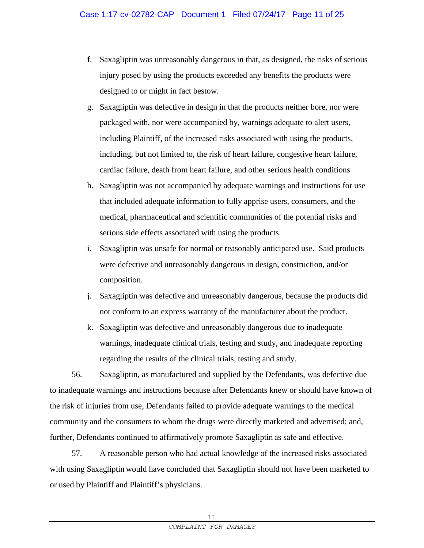- f. Saxagliptin was unreasonably dangerous in that, as designed, the risks of serious injury posed by using the products exceeded any benefits the products were designed to or might in fact bestow.
- g. Saxagliptin was defective in design in that the products neither bore, nor were packaged with, nor were accompanied by, warnings adequate to alert users, including Plaintiff, of the increased risks associated with using the products, including, but not limited to, the risk of heart failure, congestive heart failure, cardiac failure, death from heart failure, and other serious health conditions
- h. Saxagliptin was not accompanied by adequate warnings and instructions for use that included adequate information to fully apprise users, consumers, and the medical, pharmaceutical and scientific communities of the potential risks and serious side effects associated with using the products.
- i. Saxagliptin was unsafe for normal or reasonably anticipated use. Said products were defective and unreasonably dangerous in design, construction, and/or composition.
- j. Saxagliptin was defective and unreasonably dangerous, because the products did not conform to an express warranty of the manufacturer about the product.
- k. Saxagliptin was defective and unreasonably dangerous due to inadequate warnings, inadequate clinical trials, testing and study, and inadequate reporting regarding the results of the clinical trials, testing and study.

56. Saxagliptin, as manufactured and supplied by the Defendants, was defective due to inadequate warnings and instructions because after Defendants knew or should have known of the risk of injuries from use, Defendants failed to provide adequate warnings to the medical community and the consumers to whom the drugs were directly marketed and advertised; and, further, Defendants continued to affirmatively promote Saxagliptin as safe and effective.

57. A reasonable person who had actual knowledge of the increased risks associated with using Saxagliptin would have concluded that Saxagliptin should not have been marketed to or used by Plaintiff and Plaintiff's physicians.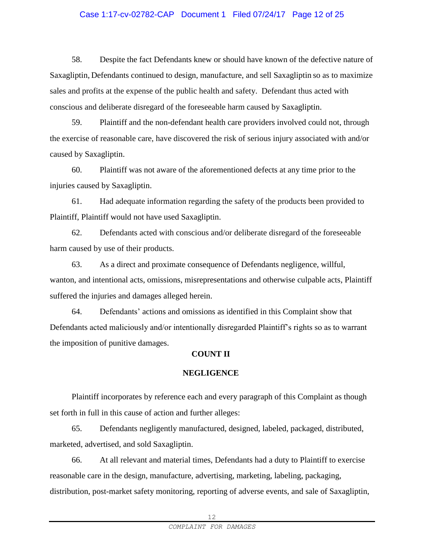## Case 1:17-cv-02782-CAP Document 1 Filed 07/24/17 Page 12 of 25

58. Despite the fact Defendants knew or should have known of the defective nature of Saxagliptin, Defendants continued to design, manufacture, and sell Saxagliptin so as to maximize sales and profits at the expense of the public health and safety. Defendant thus acted with conscious and deliberate disregard of the foreseeable harm caused by Saxagliptin.

59. Plaintiff and the non-defendant health care providers involved could not, through the exercise of reasonable care, have discovered the risk of serious injury associated with and/or caused by Saxagliptin.

60. Plaintiff was not aware of the aforementioned defects at any time prior to the injuries caused by Saxagliptin.

61. Had adequate information regarding the safety of the products been provided to Plaintiff, Plaintiff would not have used Saxagliptin.

62. Defendants acted with conscious and/or deliberate disregard of the foreseeable harm caused by use of their products.

63. As a direct and proximate consequence of Defendants negligence, willful, wanton, and intentional acts, omissions, misrepresentations and otherwise culpable acts, Plaintiff suffered the injuries and damages alleged herein.

64. Defendants' actions and omissions as identified in this Complaint show that Defendants acted maliciously and/or intentionally disregarded Plaintiff's rights so as to warrant the imposition of punitive damages.

## **COUNT II**

#### **NEGLIGENCE**

Plaintiff incorporates by reference each and every paragraph of this Complaint as though set forth in full in this cause of action and further alleges:

65. Defendants negligently manufactured, designed, labeled, packaged, distributed, marketed, advertised, and sold Saxagliptin.

66. At all relevant and material times, Defendants had a duty to Plaintiff to exercise reasonable care in the design, manufacture, advertising, marketing, labeling, packaging, distribution, post-market safety monitoring, reporting of adverse events, and sale of Saxagliptin,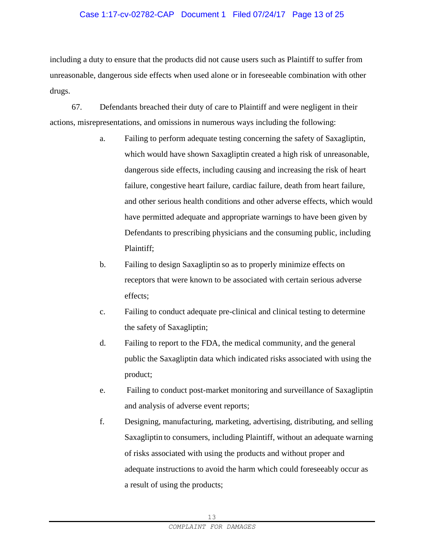## Case 1:17-cv-02782-CAP Document 1 Filed 07/24/17 Page 13 of 25

including a duty to ensure that the products did not cause users such as Plaintiff to suffer from unreasonable, dangerous side effects when used alone or in foreseeable combination with other drugs.

67. Defendants breached their duty of care to Plaintiff and were negligent in their actions, misrepresentations, and omissions in numerous ways including the following:

- a. Failing to perform adequate testing concerning the safety of Saxagliptin, which would have shown Saxagliptin created a high risk of unreasonable, dangerous side effects, including causing and increasing the risk of heart failure, congestive heart failure, cardiac failure, death from heart failure, and other serious health conditions and other adverse effects, which would have permitted adequate and appropriate warnings to have been given by Defendants to prescribing physicians and the consuming public, including Plaintiff;
- b. Failing to design Saxagliptin so as to properly minimize effects on receptors that were known to be associated with certain serious adverse effects;
- c. Failing to conduct adequate pre-clinical and clinical testing to determine the safety of Saxagliptin;
- d. Failing to report to the FDA, the medical community, and the general public the Saxagliptin data which indicated risks associated with using the product;
- e. Failing to conduct post-market monitoring and surveillance of Saxagliptin and analysis of adverse event reports;
- f. Designing, manufacturing, marketing, advertising, distributing, and selling Saxagliptin to consumers, including Plaintiff, without an adequate warning of risks associated with using the products and without proper and adequate instructions to avoid the harm which could foreseeably occur as a result of using the products;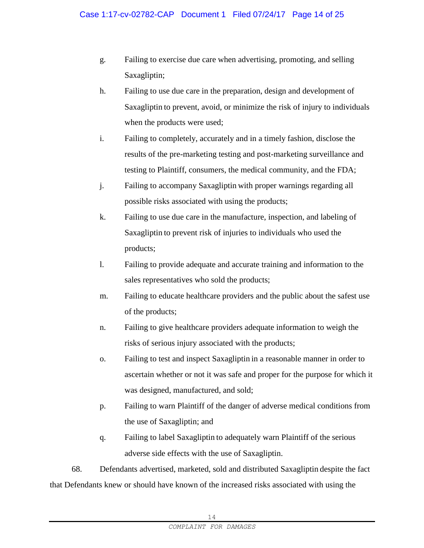- g. Failing to exercise due care when advertising, promoting, and selling Saxagliptin;
- h. Failing to use due care in the preparation, design and development of Saxagliptin to prevent, avoid, or minimize the risk of injury to individuals when the products were used;
- i. Failing to completely, accurately and in a timely fashion, disclose the results of the pre-marketing testing and post-marketing surveillance and testing to Plaintiff, consumers, the medical community, and the FDA;
- j. Failing to accompany Saxagliptin with proper warnings regarding all possible risks associated with using the products;
- k. Failing to use due care in the manufacture, inspection, and labeling of Saxagliptin to prevent risk of injuries to individuals who used the products;
- l. Failing to provide adequate and accurate training and information to the sales representatives who sold the products;
- m. Failing to educate healthcare providers and the public about the safest use of the products;
- n. Failing to give healthcare providers adequate information to weigh the risks of serious injury associated with the products;
- o. Failing to test and inspect Saxagliptin in a reasonable manner in order to ascertain whether or not it was safe and proper for the purpose for which it was designed, manufactured, and sold;
- p. Failing to warn Plaintiff of the danger of adverse medical conditions from the use of Saxagliptin; and
- q. Failing to label Saxagliptin to adequately warn Plaintiff of the serious adverse side effects with the use of Saxagliptin.

68. Defendants advertised, marketed, sold and distributed Saxagliptin despite the fact that Defendants knew or should have known of the increased risks associated with using the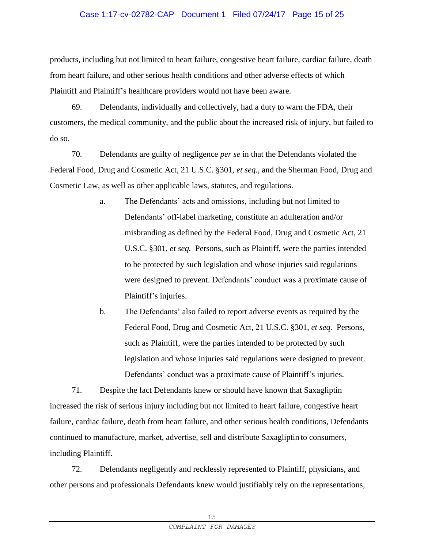## Case 1:17-cv-02782-CAP Document 1 Filed 07/24/17 Page 15 of 25

products, including but not limited to heart failure, congestive heart failure, cardiac failure, death from heart failure, and other serious health conditions and other adverse effects of which Plaintiff and Plaintiff's healthcare providers would not have been aware.

69. Defendants, individually and collectively, had a duty to warn the FDA, their customers, the medical community, and the public about the increased risk of injury, but failed to do so.

70. Defendants are guilty of negligence *per se* in that the Defendants violated the Federal Food, Drug and Cosmetic Act, 21 U.S.C. §301, *et seq.*, and the Sherman Food, Drug and Cosmetic Law, as well as other applicable laws, statutes, and regulations.

- a. The Defendants' acts and omissions, including but not limited to Defendants' off-label marketing, constitute an adulteration and/or misbranding as defined by the Federal Food, Drug and Cosmetic Act, 21 U.S.C. §301, *et seq.* Persons, such as Plaintiff, were the parties intended to be protected by such legislation and whose injuries said regulations were designed to prevent. Defendants' conduct was a proximate cause of Plaintiff's injuries.
- b. The Defendants' also failed to report adverse events as required by the Federal Food, Drug and Cosmetic Act, 21 U.S.C. §301, *et seq.* Persons, such as Plaintiff, were the parties intended to be protected by such legislation and whose injuries said regulations were designed to prevent. Defendants' conduct was a proximate cause of Plaintiff's injuries.

71. Despite the fact Defendants knew or should have known that Saxagliptin increased the risk of serious injury including but not limited to heart failure, congestive heart failure, cardiac failure, death from heart failure, and other serious health conditions, Defendants continued to manufacture, market, advertise, sell and distribute Saxagliptin to consumers, including Plaintiff.

72. Defendants negligently and recklessly represented to Plaintiff, physicians, and other persons and professionals Defendants knew would justifiably rely on the representations,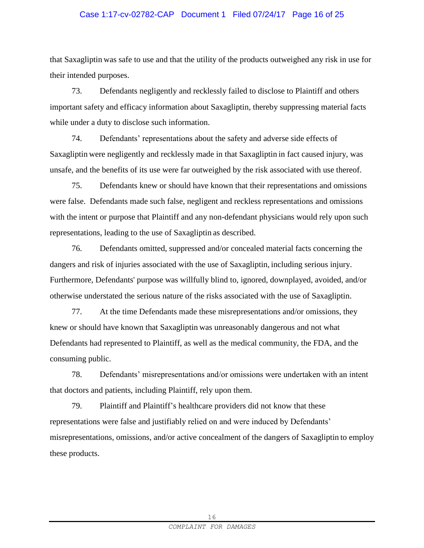## Case 1:17-cv-02782-CAP Document 1 Filed 07/24/17 Page 16 of 25

that Saxagliptin was safe to use and that the utility of the products outweighed any risk in use for their intended purposes.

73. Defendants negligently and recklessly failed to disclose to Plaintiff and others important safety and efficacy information about Saxagliptin, thereby suppressing material facts while under a duty to disclose such information.

74. Defendants' representations about the safety and adverse side effects of Saxagliptin were negligently and recklessly made in that Saxagliptin in fact caused injury, was unsafe, and the benefits of its use were far outweighed by the risk associated with use thereof.

75. Defendants knew or should have known that their representations and omissions were false. Defendants made such false, negligent and reckless representations and omissions with the intent or purpose that Plaintiff and any non-defendant physicians would rely upon such representations, leading to the use of Saxagliptin as described.

76. Defendants omitted, suppressed and/or concealed material facts concerning the dangers and risk of injuries associated with the use of Saxagliptin, including serious injury. Furthermore, Defendants' purpose was willfully blind to, ignored, downplayed, avoided, and/or otherwise understated the serious nature of the risks associated with the use of Saxagliptin.

77. At the time Defendants made these misrepresentations and/or omissions, they knew or should have known that Saxagliptin was unreasonably dangerous and not what Defendants had represented to Plaintiff, as well as the medical community, the FDA, and the consuming public.

78. Defendants' misrepresentations and/or omissions were undertaken with an intent that doctors and patients, including Plaintiff, rely upon them.

79. Plaintiff and Plaintiff's healthcare providers did not know that these representations were false and justifiably relied on and were induced by Defendants' misrepresentations, omissions, and/or active concealment of the dangers of Saxagliptin to employ these products.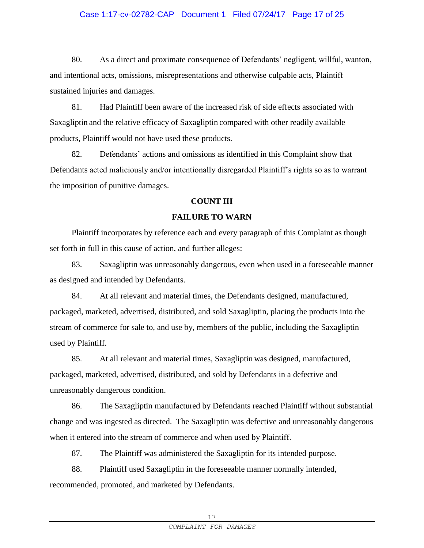## Case 1:17-cv-02782-CAP Document 1 Filed 07/24/17 Page 17 of 25

80. As a direct and proximate consequence of Defendants' negligent, willful, wanton, and intentional acts, omissions, misrepresentations and otherwise culpable acts, Plaintiff sustained injuries and damages.

81. Had Plaintiff been aware of the increased risk of side effects associated with Saxagliptin and the relative efficacy of Saxagliptin compared with other readily available products, Plaintiff would not have used these products.

82. Defendants' actions and omissions as identified in this Complaint show that Defendants acted maliciously and/or intentionally disregarded Plaintiff's rights so as to warrant the imposition of punitive damages.

#### **COUNT III**

## **FAILURE TO WARN**

Plaintiff incorporates by reference each and every paragraph of this Complaint as though set forth in full in this cause of action, and further alleges:

83. Saxagliptin was unreasonably dangerous, even when used in a foreseeable manner as designed and intended by Defendants.

84. At all relevant and material times, the Defendants designed, manufactured, packaged, marketed, advertised, distributed, and sold Saxagliptin, placing the products into the stream of commerce for sale to, and use by, members of the public, including the Saxagliptin used by Plaintiff.

85. At all relevant and material times, Saxagliptin was designed, manufactured, packaged, marketed, advertised, distributed, and sold by Defendants in a defective and unreasonably dangerous condition.

86. The Saxagliptin manufactured by Defendants reached Plaintiff without substantial change and was ingested as directed. The Saxagliptin was defective and unreasonably dangerous when it entered into the stream of commerce and when used by Plaintiff.

87. The Plaintiff was administered the Saxagliptin for its intended purpose.

88. Plaintiff used Saxagliptin in the foreseeable manner normally intended, recommended, promoted, and marketed by Defendants.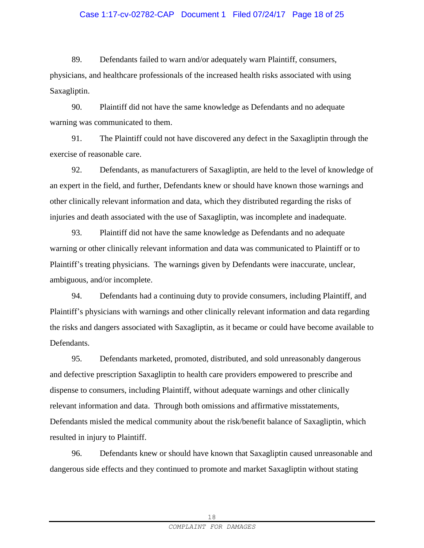## Case 1:17-cv-02782-CAP Document 1 Filed 07/24/17 Page 18 of 25

89. Defendants failed to warn and/or adequately warn Plaintiff, consumers, physicians, and healthcare professionals of the increased health risks associated with using Saxagliptin.

90. Plaintiff did not have the same knowledge as Defendants and no adequate warning was communicated to them.

91. The Plaintiff could not have discovered any defect in the Saxagliptin through the exercise of reasonable care.

92. Defendants, as manufacturers of Saxagliptin, are held to the level of knowledge of an expert in the field, and further, Defendants knew or should have known those warnings and other clinically relevant information and data, which they distributed regarding the risks of injuries and death associated with the use of Saxagliptin, was incomplete and inadequate.

93. Plaintiff did not have the same knowledge as Defendants and no adequate warning or other clinically relevant information and data was communicated to Plaintiff or to Plaintiff's treating physicians. The warnings given by Defendants were inaccurate, unclear, ambiguous, and/or incomplete.

94. Defendants had a continuing duty to provide consumers, including Plaintiff, and Plaintiff's physicians with warnings and other clinically relevant information and data regarding the risks and dangers associated with Saxagliptin, as it became or could have become available to Defendants.

95. Defendants marketed, promoted, distributed, and sold unreasonably dangerous and defective prescription Saxagliptin to health care providers empowered to prescribe and dispense to consumers, including Plaintiff, without adequate warnings and other clinically relevant information and data. Through both omissions and affirmative misstatements, Defendants misled the medical community about the risk/benefit balance of Saxagliptin, which resulted in injury to Plaintiff.

96. Defendants knew or should have known that Saxagliptin caused unreasonable and dangerous side effects and they continued to promote and market Saxagliptin without stating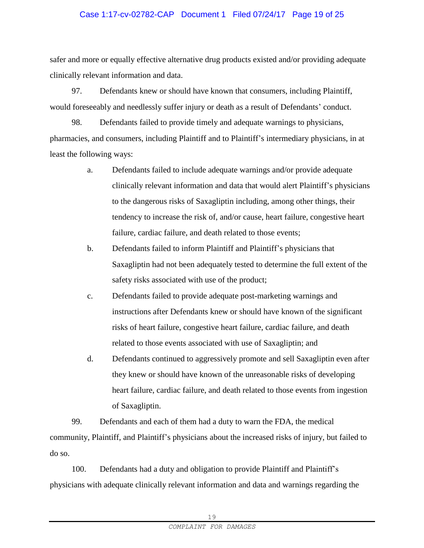## Case 1:17-cv-02782-CAP Document 1 Filed 07/24/17 Page 19 of 25

safer and more or equally effective alternative drug products existed and/or providing adequate clinically relevant information and data.

97. Defendants knew or should have known that consumers, including Plaintiff, would foreseeably and needlessly suffer injury or death as a result of Defendants' conduct.

98. Defendants failed to provide timely and adequate warnings to physicians, pharmacies, and consumers, including Plaintiff and to Plaintiff's intermediary physicians, in at least the following ways:

- a. Defendants failed to include adequate warnings and/or provide adequate clinically relevant information and data that would alert Plaintiff's physicians to the dangerous risks of Saxagliptin including, among other things, their tendency to increase the risk of, and/or cause, heart failure, congestive heart failure, cardiac failure, and death related to those events;
- b. Defendants failed to inform Plaintiff and Plaintiff's physicians that Saxagliptin had not been adequately tested to determine the full extent of the safety risks associated with use of the product;
- c. Defendants failed to provide adequate post-marketing warnings and instructions after Defendants knew or should have known of the significant risks of heart failure, congestive heart failure, cardiac failure, and death related to those events associated with use of Saxagliptin; and
- d. Defendants continued to aggressively promote and sell Saxagliptin even after they knew or should have known of the unreasonable risks of developing heart failure, cardiac failure, and death related to those events from ingestion of Saxagliptin.

99. Defendants and each of them had a duty to warn the FDA, the medical community, Plaintiff, and Plaintiff's physicians about the increased risks of injury, but failed to do so.

100. Defendants had a duty and obligation to provide Plaintiff and Plaintiff's physicians with adequate clinically relevant information and data and warnings regarding the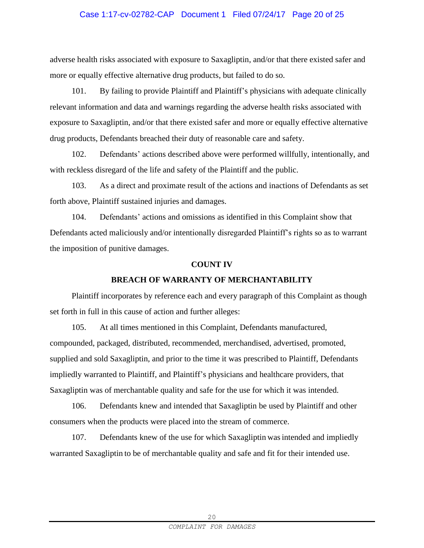## Case 1:17-cv-02782-CAP Document 1 Filed 07/24/17 Page 20 of 25

adverse health risks associated with exposure to Saxagliptin, and/or that there existed safer and more or equally effective alternative drug products, but failed to do so.

101. By failing to provide Plaintiff and Plaintiff's physicians with adequate clinically relevant information and data and warnings regarding the adverse health risks associated with exposure to Saxagliptin, and/or that there existed safer and more or equally effective alternative drug products, Defendants breached their duty of reasonable care and safety.

102. Defendants' actions described above were performed willfully, intentionally, and with reckless disregard of the life and safety of the Plaintiff and the public.

103. As a direct and proximate result of the actions and inactions of Defendants as set forth above, Plaintiff sustained injuries and damages.

104. Defendants' actions and omissions as identified in this Complaint show that Defendants acted maliciously and/or intentionally disregarded Plaintiff's rights so as to warrant the imposition of punitive damages.

#### **COUNT IV**

#### **BREACH OF WARRANTY OF MERCHANTABILITY**

Plaintiff incorporates by reference each and every paragraph of this Complaint as though set forth in full in this cause of action and further alleges:

105. At all times mentioned in this Complaint, Defendants manufactured, compounded, packaged, distributed, recommended, merchandised, advertised, promoted, supplied and sold Saxagliptin, and prior to the time it was prescribed to Plaintiff, Defendants impliedly warranted to Plaintiff, and Plaintiff's physicians and healthcare providers, that Saxagliptin was of merchantable quality and safe for the use for which it was intended.

106. Defendants knew and intended that Saxagliptin be used by Plaintiff and other consumers when the products were placed into the stream of commerce.

107. Defendants knew of the use for which Saxagliptin was intended and impliedly warranted Saxagliptin to be of merchantable quality and safe and fit for their intended use.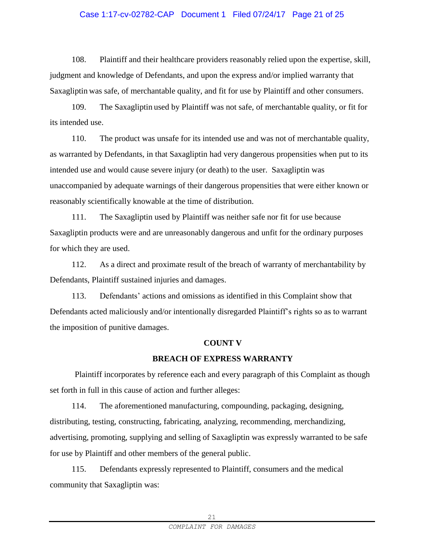## Case 1:17-cv-02782-CAP Document 1 Filed 07/24/17 Page 21 of 25

108. Plaintiff and their healthcare providers reasonably relied upon the expertise, skill, judgment and knowledge of Defendants, and upon the express and/or implied warranty that Saxagliptin was safe, of merchantable quality, and fit for use by Plaintiff and other consumers.

109. The Saxagliptin used by Plaintiff was not safe, of merchantable quality, or fit for its intended use.

110. The product was unsafe for its intended use and was not of merchantable quality, as warranted by Defendants, in that Saxagliptin had very dangerous propensities when put to its intended use and would cause severe injury (or death) to the user. Saxagliptin was unaccompanied by adequate warnings of their dangerous propensities that were either known or reasonably scientifically knowable at the time of distribution.

111. The Saxagliptin used by Plaintiff was neither safe nor fit for use because Saxagliptin products were and are unreasonably dangerous and unfit for the ordinary purposes for which they are used.

112. As a direct and proximate result of the breach of warranty of merchantability by Defendants, Plaintiff sustained injuries and damages.

113. Defendants' actions and omissions as identified in this Complaint show that Defendants acted maliciously and/or intentionally disregarded Plaintiff's rights so as to warrant the imposition of punitive damages.

#### **COUNT V**

## **BREACH OF EXPRESS WARRANTY**

Plaintiff incorporates by reference each and every paragraph of this Complaint as though set forth in full in this cause of action and further alleges:

114. The aforementioned manufacturing, compounding, packaging, designing, distributing, testing, constructing, fabricating, analyzing, recommending, merchandizing, advertising, promoting, supplying and selling of Saxagliptin was expressly warranted to be safe for use by Plaintiff and other members of the general public.

115. Defendants expressly represented to Plaintiff, consumers and the medical community that Saxagliptin was: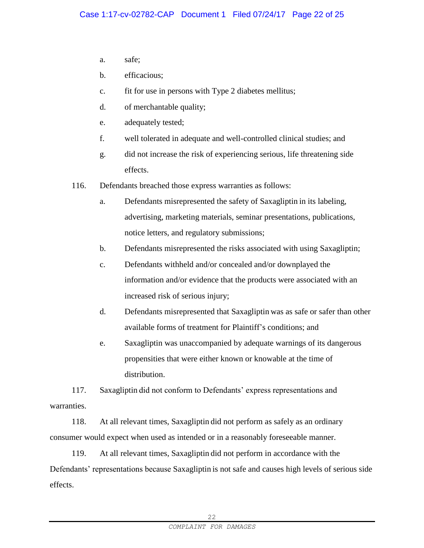- a. safe;
- b. efficacious;
- c. fit for use in persons with Type 2 diabetes mellitus;
- d. of merchantable quality;
- e. adequately tested;
- f. well tolerated in adequate and well-controlled clinical studies; and
- g. did not increase the risk of experiencing serious, life threatening side effects.
- 116. Defendants breached those express warranties as follows:
	- a. Defendants misrepresented the safety of Saxagliptin in its labeling, advertising, marketing materials, seminar presentations, publications, notice letters, and regulatory submissions;
	- b. Defendants misrepresented the risks associated with using Saxagliptin;
	- c. Defendants withheld and/or concealed and/or downplayed the information and/or evidence that the products were associated with an increased risk of serious injury;
	- d. Defendants misrepresented that Saxagliptin was as safe or safer than other available forms of treatment for Plaintiff's conditions; and
	- e. Saxagliptin was unaccompanied by adequate warnings of its dangerous propensities that were either known or knowable at the time of distribution.

117. Saxagliptin did not conform to Defendants' express representations and warranties.

118. At all relevant times, Saxagliptin did not perform as safely as an ordinary consumer would expect when used as intended or in a reasonably foreseeable manner.

119. At all relevant times, Saxagliptin did not perform in accordance with the Defendants' representations because Saxagliptin is not safe and causes high levels of serious side effects.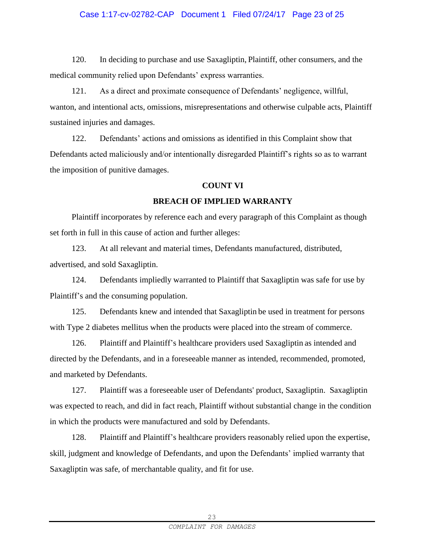## Case 1:17-cv-02782-CAP Document 1 Filed 07/24/17 Page 23 of 25

120. In deciding to purchase and use Saxagliptin, Plaintiff, other consumers, and the medical community relied upon Defendants' express warranties.

121. As a direct and proximate consequence of Defendants' negligence, willful, wanton, and intentional acts, omissions, misrepresentations and otherwise culpable acts, Plaintiff sustained injuries and damages.

122. Defendants' actions and omissions as identified in this Complaint show that Defendants acted maliciously and/or intentionally disregarded Plaintiff's rights so as to warrant the imposition of punitive damages.

#### **COUNT VI**

#### **BREACH OF IMPLIED WARRANTY**

Plaintiff incorporates by reference each and every paragraph of this Complaint as though set forth in full in this cause of action and further alleges:

123. At all relevant and material times, Defendants manufactured, distributed, advertised, and sold Saxagliptin.

124. Defendants impliedly warranted to Plaintiff that Saxagliptin was safe for use by Plaintiff's and the consuming population.

125. Defendants knew and intended that Saxagliptin be used in treatment for persons with Type 2 diabetes mellitus when the products were placed into the stream of commerce.

126. Plaintiff and Plaintiff's healthcare providers used Saxagliptin as intended and directed by the Defendants, and in a foreseeable manner as intended, recommended, promoted, and marketed by Defendants.

127. Plaintiff was a foreseeable user of Defendants' product, Saxagliptin. Saxagliptin was expected to reach, and did in fact reach, Plaintiff without substantial change in the condition in which the products were manufactured and sold by Defendants.

128. Plaintiff and Plaintiff's healthcare providers reasonably relied upon the expertise, skill, judgment and knowledge of Defendants, and upon the Defendants' implied warranty that Saxagliptin was safe, of merchantable quality, and fit for use.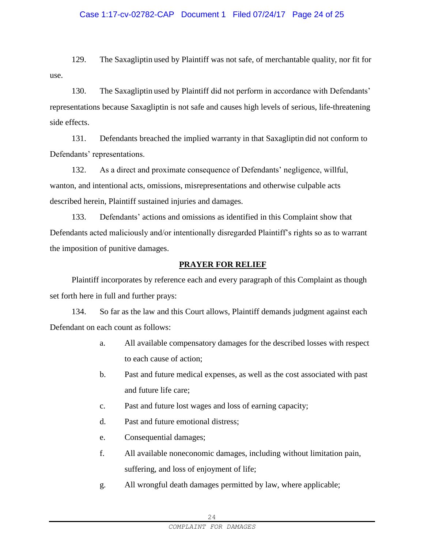#### Case 1:17-cv-02782-CAP Document 1 Filed 07/24/17 Page 24 of 25

129. The Saxagliptin used by Plaintiff was not safe, of merchantable quality, nor fit for use.

130. The Saxagliptin used by Plaintiff did not perform in accordance with Defendants' representations because Saxagliptin is not safe and causes high levels of serious, life-threatening side effects.

131. Defendants breached the implied warranty in that Saxagliptin did not conform to Defendants' representations.

132. As a direct and proximate consequence of Defendants' negligence, willful, wanton, and intentional acts, omissions, misrepresentations and otherwise culpable acts described herein, Plaintiff sustained injuries and damages.

133. Defendants' actions and omissions as identified in this Complaint show that Defendants acted maliciously and/or intentionally disregarded Plaintiff's rights so as to warrant the imposition of punitive damages.

#### **PRAYER FOR RELIEF**

Plaintiff incorporates by reference each and every paragraph of this Complaint as though set forth here in full and further prays:

134. So far as the law and this Court allows, Plaintiff demands judgment against each Defendant on each count as follows:

- a. All available compensatory damages for the described losses with respect to each cause of action;
- b. Past and future medical expenses, as well as the cost associated with past and future life care;
- c. Past and future lost wages and loss of earning capacity;
- d. Past and future emotional distress;
- e. Consequential damages;
- f. All available noneconomic damages, including without limitation pain, suffering, and loss of enjoyment of life;
- g. All wrongful death damages permitted by law, where applicable;